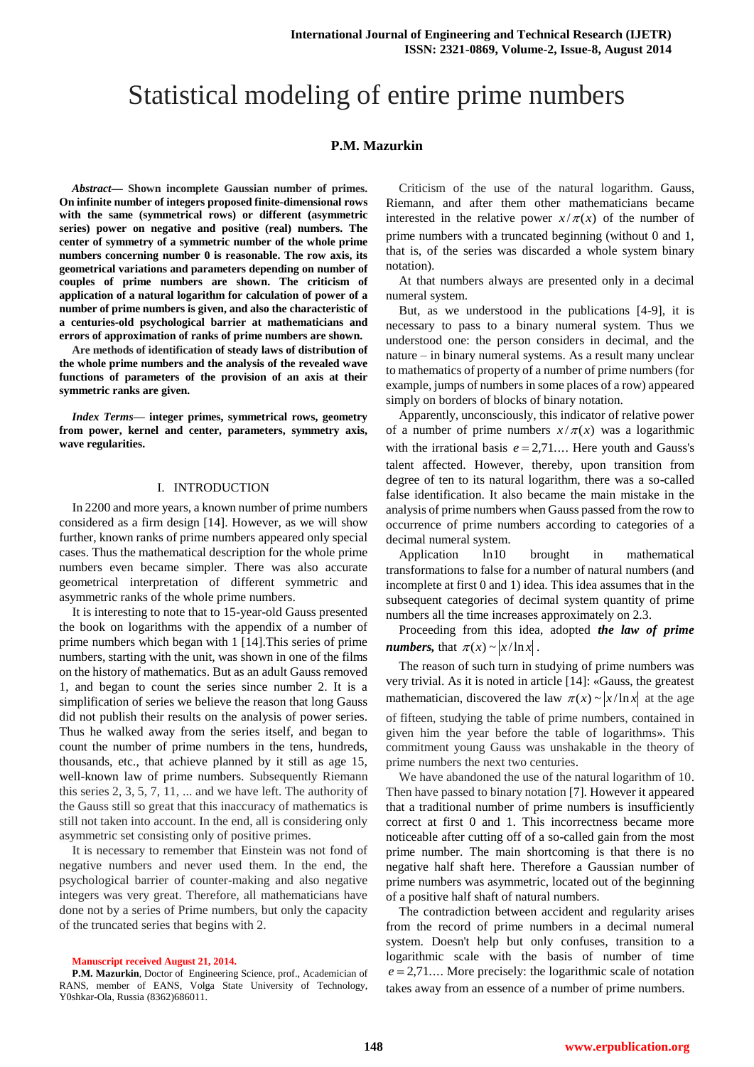# Statistical modeling of entire prime numbers

# **P.M. Mazurkin**

*Abstract***— Shown incomplete Gaussian number of primes. On infinite number of integers proposed finite-dimensional rows with the same (symmetrical rows) or different (asymmetric series) power on negative and positive (real) numbers. The center of symmetry of a symmetric number of the whole prime numbers concerning number 0 is reasonable. The row axis, its geometrical variations and parameters depending on number of couples of prime numbers are shown. The criticism of application of a natural logarithm for calculation of power of a number of prime numbers is given, and also the characteristic of a centuries-old psychological barrier at mathematicians and errors of approximation of ranks of prime numbers are shown.**

**Are methods of identification of steady laws of distribution of the whole prime numbers and the analysis of the revealed wave functions of parameters of the provision of an axis at their symmetric ranks are given.**

*Index Terms***— integer primes, symmetrical rows, geometry from power, kernel and center, parameters, symmetry axis, wave regularities.**

#### I. INTRODUCTION

In 2200 and more years, a known number of prime numbers considered as a firm design [14]. However, as we will show further, known ranks of prime numbers appeared only special cases. Thus the mathematical description for the whole prime numbers even became simpler. There was also accurate geometrical interpretation of different symmetric and asymmetric ranks of the whole prime numbers.

It is interesting to note that to 15-year-old Gauss presented the book on logarithms with the appendix of a number of prime numbers which began with 1 [14].This series of prime numbers, starting with the unit, was shown in one of the films on the history of mathematics. But as an adult Gauss removed 1, and began to count the series since number 2. It is a simplification of series we believe the reason that long Gauss did not publish their results on the analysis of power series. Thus he walked away from the series itself, and began to count the number of prime numbers in the tens, hundreds, thousands, etc., that achieve planned by it still as age 15, well-known law of prime numbers. Subsequently Riemann this series 2, 3, 5, 7, 11, ... and we have left. The authority of the Gauss still so great that this inaccuracy of mathematics is still not taken into account. In the end, all is considering only asymmetric set consisting only of positive primes.

It is necessary to remember that Einstein was not fond of negative numbers and never used them. In the end, the psychological barrier of counter-making and also negative integers was very great. Therefore, all mathematicians have done not by a series of Prime numbers, but only the capacity of the truncated series that begins with 2.

Criticism of the use of the natural logarithm. Gauss, Riemann, and after them other mathematicians became interested in the relative power  $x / \pi(x)$  of the number of prime numbers with a truncated beginning (without 0 and 1, that is, of the series was discarded a whole system binary notation).

At that numbers always are presented only in a decimal numeral system.

But, as we understood in the publications [4-9], it is necessary to pass to a binary numeral system. Thus we understood one: the person considers in decimal, and the nature – in binary numeral systems. As a result many unclear to mathematics of property of a number of prime numbers (for example, jumps of numbers in some places of a row) appeared simply on borders of blocks of binary notation.

Apparently, unconsciously, this indicator of relative power of a number of prime numbers  $x / \pi(x)$  was a logarithmic with the irrational basis  $e = 2.71...$  Here youth and Gauss's talent affected. However, thereby, upon transition from degree of ten to its natural logarithm, there was a so-called false identification. It also became the main mistake in the analysis of prime numbers when Gauss passed from the row to occurrence of prime numbers according to categories of a decimal numeral system.

Application ln10 brought in mathematical transformations to false for a number of natural numbers (and incomplete at first 0 and 1) idea. This idea assumes that in the subsequent categories of decimal system quantity of prime numbers all the time increases approximately on 2.3.

Proceeding from this idea, adopted *the law of prime numbers,* that  $\pi(x) \sim |x/\ln x|$ .

The reason of such turn in studying of prime numbers was very trivial. As it is noted in article [14]: «Gauss, the greatest mathematician, discovered the law  $\pi(x) \sim |x/\ln x|$  at the age of fifteen, studying the table of prime numbers, contained in given him the year before the table of logarithms». This commitment young Gauss was unshakable in the theory of prime numbers the next two centuries.

We have abandoned the use of the natural logarithm of 10. Then have passed to binary notation [7]. However it appeared that a traditional number of prime numbers is insufficiently correct at first 0 and 1. This incorrectness became more noticeable after cutting off of a so-called gain from the most prime number. The main shortcoming is that there is no negative half shaft here. Therefore a Gaussian number of prime numbers was asymmetric, located out of the beginning of a positive half shaft of natural numbers.

The contradiction between accident and regularity arises from the record of prime numbers in a decimal numeral system. Doesn't help but only confuses, transition to a logarithmic scale with the basis of number of time  $e = 2,71...$  More precisely: the logarithmic scale of notation takes away from an essence of a number of prime numbers.

**Manuscript received August 21, 2014.**

**P.M. Mazurkin**, Doctor of Engineering Science, prof., Academician of RANS, member of EANS, Volga State University of Technology, Y0shkar-Ola, Russia (8362)686011.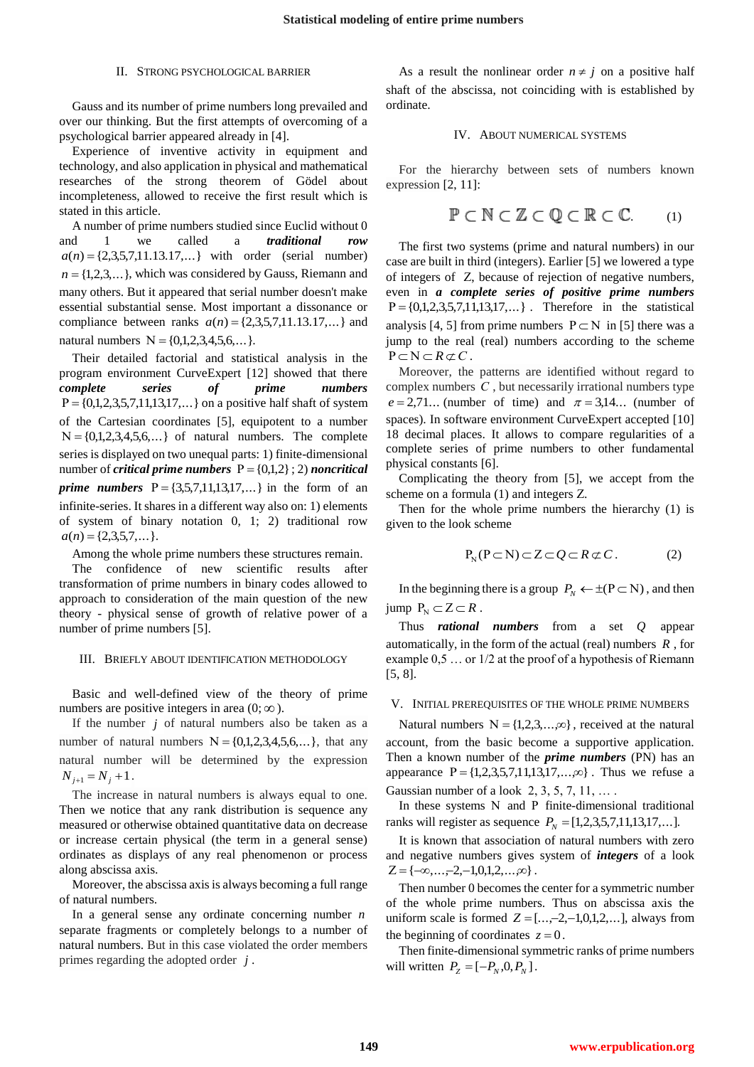#### II. STRONG PSYCHOLOGICAL BARRIER

Gauss and its number of prime numbers long prevailed and over our thinking. But the first attempts of overcoming of a psychological barrier appeared already in [4].

Experience of inventive activity in equipment and technology, and also application in physical and mathematical researches of the strong theorem of Gödel about incompleteness, allowed to receive the first result which is stated in this article.

A number of prime numbers studied since Euclid without 0 and 1 we called a *traditional row*  $a(n) = \{2, 3, 5, 7, 11.13.17,...\}$  with order (serial number)  $n = \{1,2,3,...\}$ , which was considered by Gauss, Riemann and many others. But it appeared that serial number doesn't make essential substantial sense. Most important a dissonance or compliance between ranks  $a(n) = \{2,3,5,7,11.13.17,...\}$  and natural numbers  $N = \{0, 1, 2, 3, 4, 5, 6, ...\}$ .

Their detailed factorial and statistical analysis in the program environment CurveExpert [12] showed that there *complete series of prime numbers*   $P = \{0, 1, 2, 3, 5, 7, 11, 13, 17, ...\}$  on a positive half shaft of system of the Cartesian coordinates [5], equipotent to a number  $N = \{0,1,2,3,4,5,6,...\}$  of natural numbers. The complete series is displayed on two unequal parts: 1) finite-dimensional number of *critical prime numbers*  $P = \{0,1,2\}$ ; 2) *noncritical prime numbers*  $P = \{3,5,7,11,13,17,...\}$  in the form of an infinite-series. It shares in a different way also on: 1) elements of system of binary notation 0, 1; 2) traditional row  $a(n) = \{2,3,5,7,...\}$ .

Among the whole prime numbers these structures remain. The confidence of new scientific results after transformation of prime numbers in binary codes allowed to approach to consideration of the main question of the new theory - physical sense of growth of relative power of a number of prime numbers [5].

#### III. BRIEFLY ABOUT IDENTIFICATION METHODOLOGY

Basic and well-defined view of the theory of prime numbers are positive integers in area  $(0; \infty)$ .

If the number  $j$  of natural numbers also be taken as a number of natural numbers  $N = \{0,1,2,3,4,5,6,...\}$ , that any natural number will be determined by the expression  $N_{i+1} = N_i + 1$ .

The increase in natural numbers is always equal to one. Then we notice that any rank distribution is sequence any measured or otherwise obtained quantitative data on decrease or increase certain physical (the term in a general sense) ordinates as displays of any real phenomenon or process along abscissa axis.

Moreover, the abscissa axis is always becoming a full range of natural numbers.

In a general sense any ordinate concerning number *n* separate fragments or completely belongs to a number of natural numbers. But in this case violated the order members primes regarding the adopted order *j* .

As a result the nonlinear order  $n \neq j$  on a positive half shaft of the abscissa, not coinciding with is established by ordinate.

## IV. ABOUT NUMERICAL SYSTEMS

For the hierarchy between sets of numbers known expression [2, 11]:

$$
\mathbb{P} \subset \mathbb{N} \subset \mathbb{Z} \subset \mathbb{Q} \subset \mathbb{R} \subset \mathbb{C}. \qquad (1)
$$

The first two systems (prime and natural numbers) in our case are built in third (integers). Earlier [5] we lowered a type of integers of  $Z$ , because of rejection of negative numbers, even in *a complete series of positive prime numbers*   $P = \{0, 1, 2, 3, 5, 7, 11, 13, 17, ...\}$ . Therefore in the statistical analysis [4, 5] from prime numbers  $P \subset N$  in [5] there was a jump to the real (real) numbers according to the scheme  $P \subset N \subset R \subset C$ .

Moreover, the patterns are identified without regard to complex numbers *С* , but necessarily irrational numbers type  $e = 2.71...$  (number of time) and  $\pi = 3.14...$  (number of spaces). In software environment CurveExpert accepted [10] 18 decimal places. It allows to compare regularities of a complete series of prime numbers to other fundamental physical constants [6].

Complicating the theory from [5], we accept from the scheme on a formula  $(1)$  and integers  $Z$ .

Then for the whole prime numbers the hierarchy (1) is given to the look scheme

$$
P_N(P \subset N) \subset Z \subset Q \subset R \subset C. \tag{2}
$$

In the beginning there is a group  $P_N \leftarrow \pm (P \subset N)$ , and then  $\text{jump } P_{\text{N}} \subset Z \subset R$ .

Thus *rational numbers* from a set *Q* appear automatically, in the form of the actual (real) numbers  $R$ , for example 0,5 … or 1/2 at the proof of a hypothesis of Riemann [5, 8].

V. INITIAL PREREQUISITES OF THE WHOLE PRIME NUMBERS

Natural numbers  $N = \{1, 2, 3, \dots, \infty\}$ , received at the natural account, from the basic become a supportive application. Then a known number of the *prime numbers* (PN) has an appearance  $P = \{1, 2, 3, 5, 7, 11, 13, 17, \ldots, \infty\}$ . Thus we refuse a Gaussian number of a look  $2, 3, 5, 7, 11, \ldots$ .

In these systems N and P finite-dimensional traditional ranks will register as sequence  $P_N = [1,2,3,5,7,11,13,17,...]$ .

It is known that association of natural numbers with zero and negative numbers gives system of *integers* of a look  $Z = \{-\infty, \ldots, -2, -1, 0, 1, 2, \ldots, \infty\}.$ 

Then number 0 becomes the center for a symmetric number of the whole prime numbers. Thus on abscissa axis the uniform scale is formed  $Z =$ [...,-2,-1,0,1,2,...], always from the beginning of coordinates  $z = 0$ .

Then finite-dimensional symmetric ranks of prime numbers will written  $P_Z = [-P_N, 0, P_N]$ .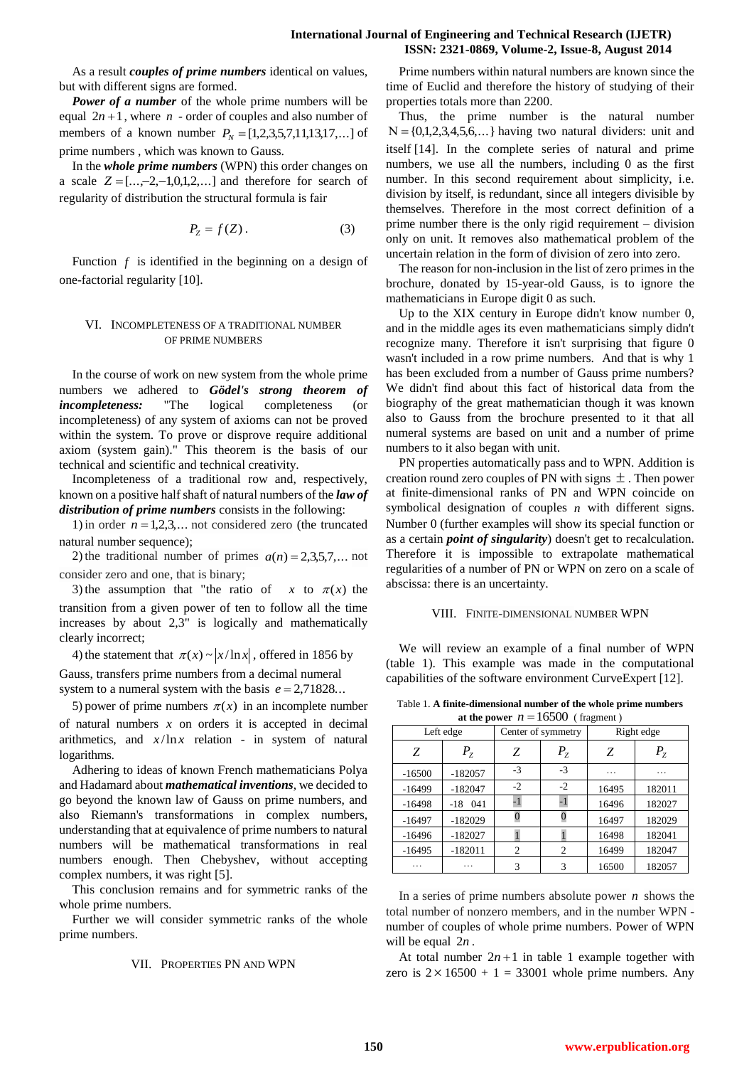## **International Journal of Engineering and Technical Research (IJETR) ISSN: 2321-0869, Volume-2, Issue-8, August 2014**

As a result *couples of prime numbers* identical on values, but with different signs are formed.

*Power of a number* of the whole prime numbers will be equal  $2n+1$ , where  $n$  - order of couples and also number of members of a known number  $P_N = [1,2,3,5,7,11,13,17,...]$  of prime numbers , which was known to Gauss.

In the *whole prime numbers* (WPN) this order changes on a scale  $Z = \left[ \dots, -2, -1, 0, 1, 2, \dots \right]$  and therefore for search of regularity of distribution the structural formula is fair

$$
P_{Z} = f(Z) \tag{3}
$$

Function  $f$  is identified in the beginning on a design of one-factorial regularity [10].

## VI. INCOMPLETENESS OF A TRADITIONAL NUMBER OF PRIME NUMBERS

In the course of work on new system from the whole prime numbers we adhered to *Gödel's strong theorem of incompleteness:* "The logical completeness (or incompleteness) of any system of axioms can not be proved within the system. To prove or disprove require additional axiom (system gain)." This theorem is the basis of our technical and scientific and technical creativity.

Incompleteness of a traditional row and, respectively, known on a positive half shaft of natural numbers of the *law of distribution of prime numbers* consists in the following:

1) in order  $n = 1,2,3,...$  not considered zero (the truncated natural number sequence);

2) the traditional number of primes  $a(n) = 2,3,5,7,...$  not consider zero and one, that is binary;

3) the assumption that "the ratio of x to  $\pi(x)$  the transition from a given power of ten to follow all the time increases by about 2,3" is logically and mathematically clearly incorrect;

4) the statement that  $\pi(x) \sim |x/\ln x|$ , offered in 1856 by

Gauss, transfers prime numbers from a decimal numeral system to a numeral system with the basis  $e = 2,71828...$ 

5) power of prime numbers  $\pi(x)$  in an incomplete number of natural numbers *x* on orders it is accepted in decimal arithmetics, and  $x/\ln x$  relation - in system of natural logarithms.

Adhering to ideas of known French mathematicians Polya and Hadamard about *mathematical inventions*, we decided to go beyond the known law of Gauss on prime numbers, and also Riemann's transformations in complex numbers, understanding that at equivalence of prime numbers to natural numbers will be mathematical transformations in real numbers enough. Then Chebyshev, without accepting complex numbers, it was right [5].

This conclusion remains and for symmetric ranks of the whole prime numbers.

Further we will consider symmetric ranks of the whole prime numbers.

# VII. PROPERTIES PN AND WPN

Prime numbers within natural numbers are known since the time of Euclid and therefore the history of studying of their properties totals more than 2200.

Thus, the prime number is the natural number  $N = \{0,1,2,3,4,5,6,...\}$  having two natural dividers: unit and itself [14]. In the complete series of natural and prime numbers, we use all the numbers, including 0 as the first number. In this second requirement about simplicity, i.e. division by itself, is redundant, since all integers divisible by themselves. Therefore in the most correct definition of a prime number there is the only rigid requirement – division only on unit. It removes also mathematical problem of the uncertain relation in the form of division of zero into zero.

The reason for non-inclusion in the list of zero primes in the brochure, donated by 15-year-old Gauss, is to ignore the mathematicians in Europe digit 0 as such.

Up to the XIX century in Europe didn't know number 0, and in the middle ages its even mathematicians simply didn't recognize many. Therefore it isn't surprising that figure 0 wasn't included in a row prime numbers. And that is why 1 has been excluded from a number of Gauss prime numbers? We didn't find about this fact of historical data from the biography of the great mathematician though it was known also to Gauss from the brochure presented to it that all numeral systems are based on unit and a number of prime numbers to it also began with unit.

PN properties automatically pass and to WPN. Addition is creation round zero couples of PN with signs  $\pm$ . Then power at finite-dimensional ranks of PN and WPN coincide on symbolical designation of couples *n* with different signs. Number 0 (further examples will show its special function or as a certain *point of singularity*) doesn't get to recalculation. Therefore it is impossible to extrapolate mathematical regularities of a number of PN or WPN on zero on a scale of abscissa: there is an uncertainty.

#### VIII. FINITE-DIMENSIONAL NUMBER WPN

We will review an example of a final number of WPN (table 1). This example was made in the computational capabilities of the software environment CurveExpert [12].

Table 1. **A finite-dimensional number of the whole prime numbers at the power**  $n = 16500$  (fragment)

| $\frac{1}{2}$ at the power $\frac{1}{2}$ is $\frac{1}{2}$ is $\frac{1}{2}$ of $\frac{1}{2}$ in $\frac{1}{2}$ |           |                    |                |            |         |
|--------------------------------------------------------------------------------------------------------------|-----------|--------------------|----------------|------------|---------|
| Left edge                                                                                                    |           | Center of symmetry |                | Right edge |         |
| Z                                                                                                            | $P_{Z}$   | Ζ                  | $P_{Z}$        | Z          | $P_{Z}$ |
| $-16500$                                                                                                     | $-182057$ | $-3$               | $-3$           | .          | .       |
| $-16499$                                                                                                     | $-182047$ | $-2$               | $-2$           | 16495      | 182011  |
| $-16498$                                                                                                     | $-18$ 041 | -1                 | -1             | 16496      | 182027  |
| $-16497$                                                                                                     | $-182029$ |                    |                | 16497      | 182029  |
| $-16496$                                                                                                     | $-182027$ |                    |                | 16498      | 182041  |
| $-16495$                                                                                                     | $-182011$ | 2                  | $\overline{c}$ | 16499      | 182047  |
| .                                                                                                            | .         | 3                  | 3              | 16500      | 182057  |

In a series of prime numbers absolute power  $n$  shows the total number of nonzero members, and in the number WPN number of couples of whole prime numbers. Power of WPN will be equal 2*n* .

At total number  $2n + 1$  in table 1 example together with zero is  $2 \times 16500 + 1 = 33001$  whole prime numbers. Any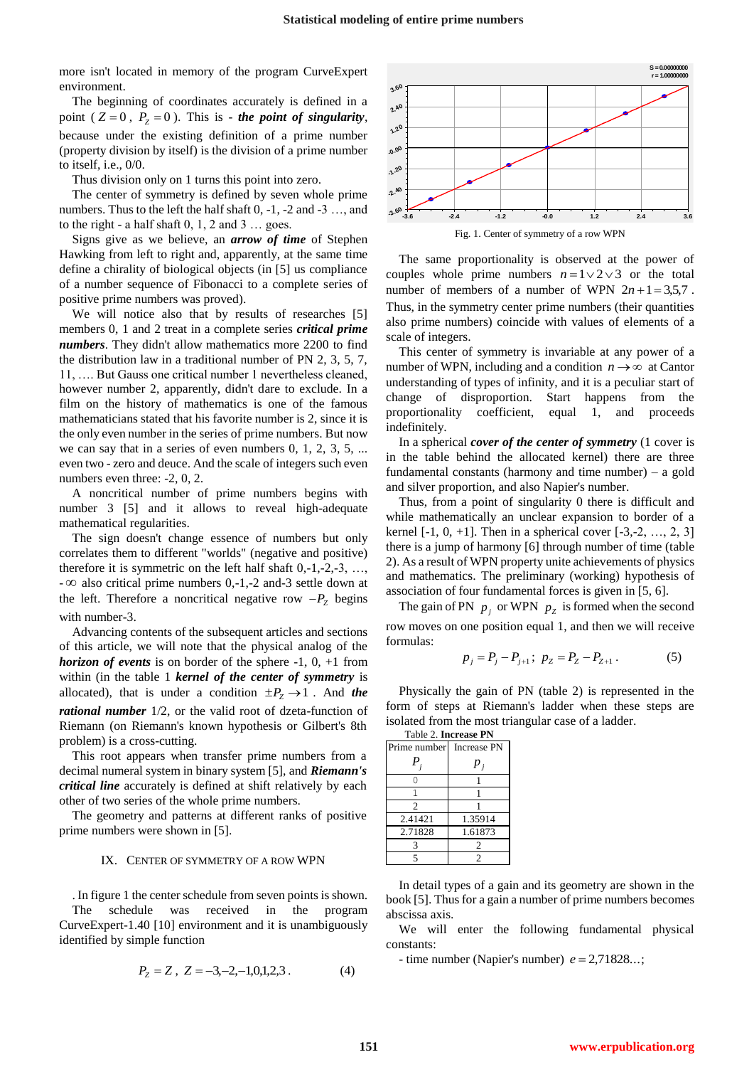more isn't located in memory of the program CurveExpert environment.

The beginning of coordinates accurately is defined in a point ( $Z = 0$ ,  $P_Z = 0$ ). This is - *the point of singularity*, because under the existing definition of a prime number (property division by itself) is the division of a prime number to itself, i.e., 0/0.

Thus division only on 1 turns this point into zero.

The center of symmetry is defined by seven whole prime numbers. Thus to the left the half shaft 0, -1, -2 and -3 …, and to the right - a half shaft  $0, 1, 2$  and  $3 \ldots$  goes.

Signs give as we believe, an *arrow of time* of Stephen Hawking from left to right and, apparently, at the same time define a chirality of biological objects (in [5] us compliance of a number sequence of Fibonacci to a complete series of positive prime numbers was proved).

We will notice also that by results of researches [5] members 0, 1 and 2 treat in a complete series *critical prime numbers*. They didn't allow mathematics more 2200 to find the distribution law in a traditional number of PN 2, 3, 5, 7, 11, …. But Gauss one critical number 1 nevertheless cleaned, however number 2, apparently, didn't dare to exclude. In a film on the history of mathematics is one of the famous mathematicians stated that his favorite number is 2, since it is the only even number in the series of prime numbers. But now we can say that in a series of even numbers 0, 1, 2, 3, 5, ... even two - zero and deuce. And the scale of integers such even numbers even three: -2, 0, 2.

A noncritical number of prime numbers begins with number 3 [5] and it allows to reveal high-adequate mathematical regularities.

The sign doesn't change essence of numbers but only correlates them to different "worlds" (negative and positive) therefore it is symmetric on the left half shaft  $0,-1,-2,-3, \ldots$ - $\infty$  also critical prime numbers 0,-1,-2 and-3 settle down at the left. Therefore a noncritical negative row  $-P_z$  begins with number-3.

Advancing contents of the subsequent articles and sections of this article, we will note that the physical analog of the *horizon of events* is on border of the sphere -1, 0, +1 from within (in the table 1 *kernel of the center of symmetry* is allocated), that is under a condition  $\pm P_z \rightarrow 1$ . And **the** *rational number* 1/2, or the valid root of dzeta-function of Riemann (on Riemann's known hypothesis or Gilbert's 8th problem) is a cross-cutting.

This root appears when transfer prime numbers from a decimal numeral system in binary system [5], and *Riemann's critical line* accurately is defined at shift relatively by each other of two series of the whole prime numbers.

The geometry and patterns at different ranks of positive prime numbers were shown in [5].

#### IX. CENTER OF SYMMETRY OF A ROW WPN

. In figure 1 the center schedule from seven points is shown. The schedule was received in the program CurveExpert-1.40 [10] environment and it is unambiguously identified by simple function

$$
P_z = Z, \ Z = -3, -2, -1, 0, 1, 2, 3 \tag{4}
$$



The same proportionality is observed at the power of couples whole prime numbers  $n = 1 \vee 2 \vee 3$  or the total number of members of a number of WPN  $2n+1=3,5,7$ . Thus, in the symmetry center prime numbers (their quantities also prime numbers) coincide with values of elements of a scale of integers.

This center of symmetry is invariable at any power of a number of WPN, including and a condition  $n \to \infty$  at Cantor understanding of types of infinity, and it is a peculiar start of change of disproportion. Start happens from the proportionality coefficient, equal 1, and proceeds indefinitely.

In a spherical *cover of the center of symmetry* (1 cover is in the table behind the allocated kernel) there are three fundamental constants (harmony and time number) – a gold and silver proportion, and also Napier's number.

Thus, from a point of singularity 0 there is difficult and while mathematically an unclear expansion to border of a kernel  $[-1, 0, +1]$ . Then in a spherical cover  $[-3, -2, ..., 2, 3]$ there is a jump of harmony [6] through number of time (table 2). As a result of WPN property unite achievements of physics and mathematics. The preliminary (working) hypothesis of association of four fundamental forces is given in [5, 6].

The gain of PN  $p_j$  or WPN  $p_z$  is formed when the second row moves on one position equal 1, and then we will receive formulas:

$$
p_j = P_j - P_{j+1}; \ p_Z = P_Z - P_{Z+1}.
$$
 (5)

Physically the gain of PN (table 2) is represented in the form of steps at Riemann's ladder when these steps are isolated from the most triangular case of a ladder.

| Table 2. <b>Increase PN</b> |                |  |
|-----------------------------|----------------|--|
| Prime number Increase PN    |                |  |
| P                           | $P_i$          |  |
|                             |                |  |
| 1                           |                |  |
| $\overline{c}$              |                |  |
| 2.41421                     | 1.35914        |  |
| 2.71828                     | 1.61873        |  |
|                             | $\overline{c}$ |  |
|                             | $\mathfrak{D}$ |  |

In detail types of a gain and its geometry are shown in the book [5]. Thus for a gain a number of prime numbers becomes abscissa axis.

We will enter the following fundamental physical constants:

- time number (Napier's number)  $e = 2,71828...$ ;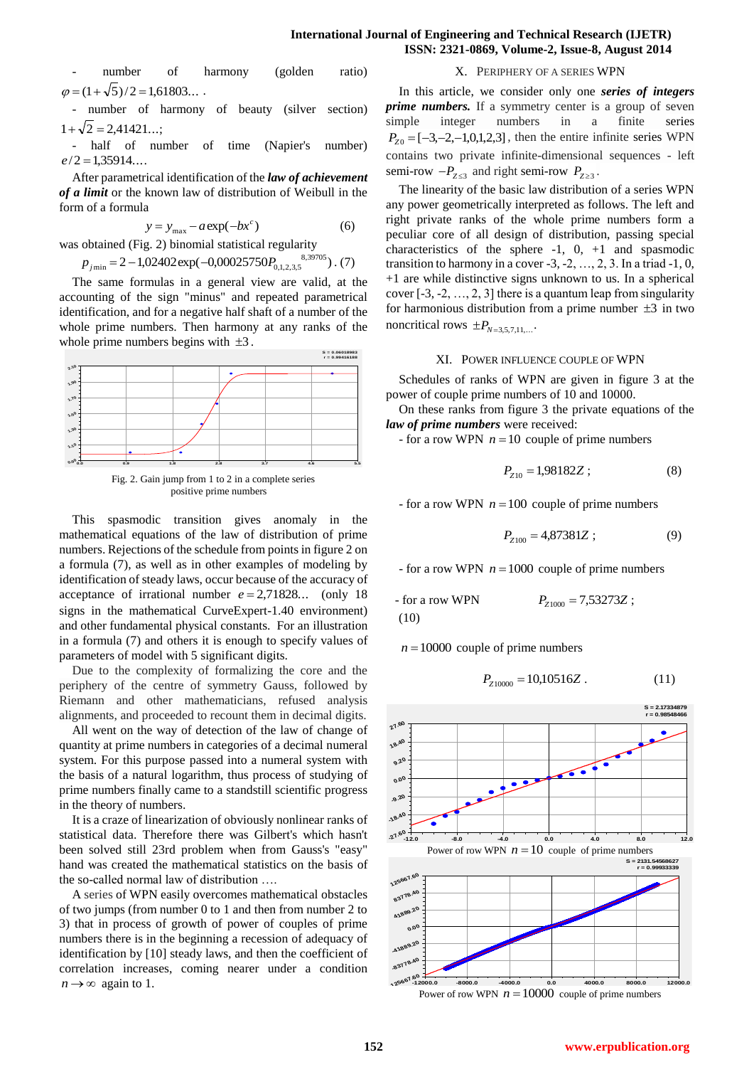number of harmony (golden ratio)  $\varphi = (1 + \sqrt{5})/2 = 1,61803...$ 

- number of harmony of beauty (silver section)  $1 + \sqrt{2} = 2,41421...;$ 

half of number of time (Napier's number)  $e/2 = 1,35914...$ 

After parametrical identification of the *law of achievement of a limit* or the known law of distribution of Weibull in the form of a formula

$$
y = y_{\text{max}} - a \exp(-bx^c)
$$
 (6)

was obtained (Fig. 2) binomial statistical regularity

$$
p_{j\text{min}} = 2 - 1,02402 \exp(-0,00025750 P_{0,1,2,3,5}^{8,39705}).(7)
$$

The same formulas in a general view are valid, at the accounting of the sign "minus" and repeated parametrical identification, and for a negative half shaft of a number of the whole prime numbers. Then harmony at any ranks of the whole prime numbers begins with  $\pm 3$ .



Fig. 2. Gain jump from 1 to 2 in a complete series positive prime numbers

This spasmodic transition gives anomaly in the mathematical equations of the law of distribution of prime numbers. Rejections of the schedule from points in figure 2 on a formula (7), as well as in other examples of modeling by identification of steady laws, occur because of the accuracy of acceptance of irrational number  $e = 2,71828...$  (only 18) signs in the mathematical CurveExpert-1.40 environment) and other fundamental physical constants. For an illustration in a formula (7) and others it is enough to specify values of parameters of model with 5 significant digits.

Due to the complexity of formalizing the core and the periphery of the centre of symmetry Gauss, followed by Riemann and other mathematicians, refused analysis alignments, and proceeded to recount them in decimal digits.

All went on the way of detection of the law of change of quantity at prime numbers in categories of a decimal numeral system. For this purpose passed into a numeral system with the basis of a natural logarithm, thus process of studying of prime numbers finally came to a standstill scientific progress in the theory of numbers.

It is a craze of linearization of obviously nonlinear ranks of statistical data. Therefore there was Gilbert's which hasn't been solved still 23rd problem when from Gauss's "easy" hand was created the mathematical statistics on the basis of the so-called normal law of distribution ….

A series of WPN easily overcomes mathematical obstacles of two jumps (from number 0 to 1 and then from number 2 to 3) that in process of growth of power of couples of prime numbers there is in the beginning a recession of adequacy of identification by [10] steady laws, and then the coefficient of correlation increases, coming nearer under a condition  $n \rightarrow \infty$  again to 1.

## X. PERIPHERY OF A SERIES WPN

In this article, we consider only one *series of integers prime numbers.* If a symmetry center is a group of seven simple integer numbers in a finite series  $P_{70} = [-3, -2, -1, 0, 1, 2, 3]$ , then the entire infinite series WPN contains two private infinite-dimensional sequences - left semi-row  $-P_{Z\leq 3}$  and right semi-row  $P_{Z\geq 3}$ .

The linearity of the basic law distribution of a series WPN any power geometrically interpreted as follows. The left and right private ranks of the whole prime numbers form a peculiar core of all design of distribution, passing special characteristics of the sphere -1, 0, +1 and spasmodic transition to harmony in a cover -3, -2,  $..., 2, 3$ . In a triad -1, 0,  $+1$  are while distinctive signs unknown to us. In a spherical cover  $[-3, -2, ..., 2, 3]$  there is a quantum leap from singularity for harmonious distribution from a prime number  $\pm 3$  in two noncritical rows  $\pm P_{N=3,5,7,11,...}$ .

# XI. POWER INFLUENCE COUPLE OF WPN

Schedules of ranks of WPN are given in figure 3 at the power of couple prime numbers of 10 and 10000.

On these ranks from figure 3 the private equations of the *law of prime numbers* were received:

- for a row WPN  $n = 10$  couple of prime numbers

$$
P_{Z10} = 1,98182Z \tag{8}
$$

- for a row WPN  $n = 100$  couple of prime numbers

$$
P_{Z100} = 4,87381Z ; \t\t(9)
$$

- for a row WPN  $n = 1000$  couple of prime numbers

- for a row WPN 
$$
P_{Z1000} = 7,53273Z ;
$$

$$
(10)
$$

 $n = 10000$  couple of prime numbers

$$
P_{Z10000} = 10,10516Z \t\t(11)
$$

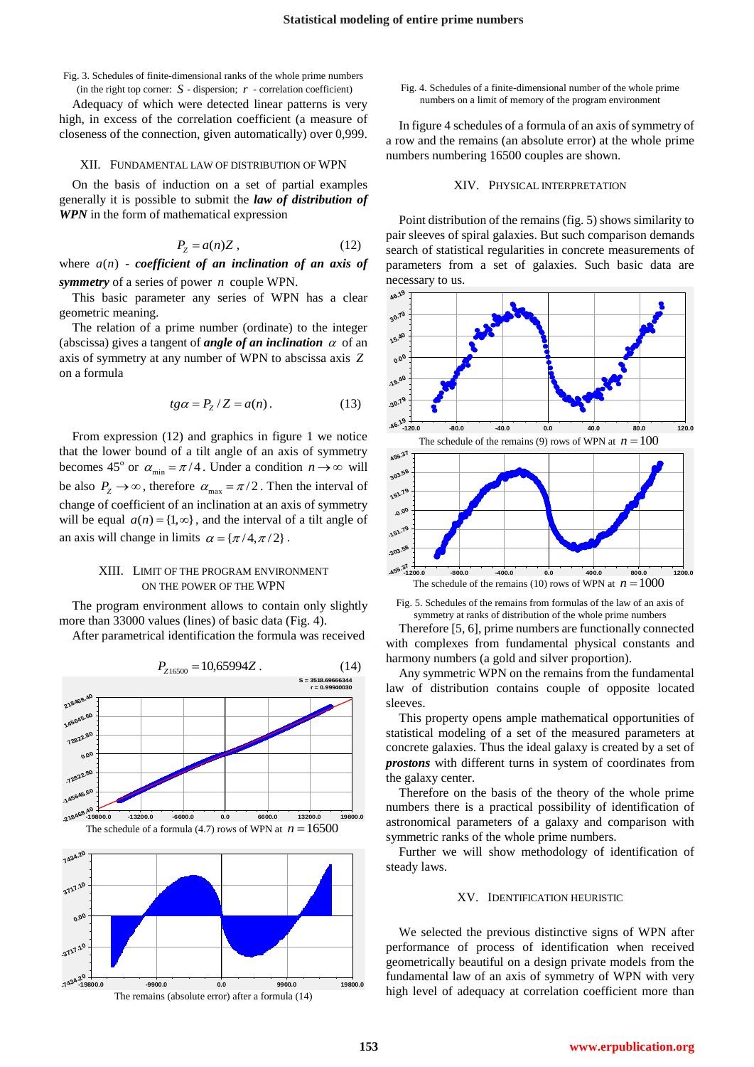Fig. 3. Schedules of finite-dimensional ranks of the whole prime numbers (in the right top corner:  $S$  - dispersion;  $r$  - correlation coefficient)

Adequacy of which were detected linear patterns is very high, in excess of the correlation coefficient (a measure of closeness of the connection, given automatically) over 0,999.

#### XII. FUNDAMENTAL LAW OF DISTRIBUTION OF WPN

On the basis of induction on a set of partial examples generally it is possible to submit the *law of distribution of WPN* in the form of mathematical expression

$$
P_Z = a(n)Z \,, \tag{12}
$$

where  $a(n)$  - *coefficient of an inclination of an axis of symmetry* of a series of power *n* couple WPN.

This basic parameter any series of WPN has a clear geometric meaning.

The relation of a prime number (ordinate) to the integer (abscissa) gives a tangent of *angle of an inclination*  $\alpha$  of an axis of symmetry at any number of WPN to abscissa axis *Z* on a formula

$$
tg\alpha = P_Z / Z = a(n). \tag{13}
$$

From expression (12) and graphics in figure 1 we notice that the lower bound of a tilt angle of an axis of symmetry becomes 45<sup>°</sup> or  $\alpha_{\min} = \pi/4$ . Under a condition  $n \to \infty$  will be also  $P_Z \rightarrow \infty$ , therefore  $\alpha_{\text{max}} = \pi/2$ . Then the interval of change of coefficient of an inclination at an axis of symmetry will be equal  $a(n) = \{1, \infty\}$ , and the interval of a tilt angle of an axis will change in limits  $\alpha = \{ \pi/4, \pi/2 \}$ .

#### XIII. LIMIT OF THE PROGRAM ENVIRONMENT ON THE POWER OF THE WPN

The program environment allows to contain only slightly more than 33000 values (lines) of basic data (Fig. 4).

After parametrical identification the formula was received



Fig. 4. Schedules of a finite-dimensional number of the whole prime numbers on a limit of memory of the program environment

In figure 4 schedules of a formula of an axis of symmetry of a row and the remains (an absolute error) at the whole prime numbers numbering 16500 couples are shown.

#### XIV. PHYSICAL INTERPRETATION

Point distribution of the remains (fig. 5) shows similarity to pair sleeves of spiral galaxies. But such comparison demands search of statistical regularities in concrete measurements of parameters from a set of galaxies. Such basic data are necessary to us.





Therefore [5, 6], prime numbers are functionally connected with complexes from fundamental physical constants and harmony numbers (a gold and silver proportion).

Any symmetric WPN on the remains from the fundamental law of distribution contains couple of opposite located sleeves.

This property opens ample mathematical opportunities of statistical modeling of a set of the measured parameters at concrete galaxies. Thus the ideal galaxy is created by a set of *prostons* with different turns in system of coordinates from the galaxy center.

Therefore on the basis of the theory of the whole prime numbers there is a practical possibility of identification of astronomical parameters of a galaxy and comparison with symmetric ranks of the whole prime numbers.

Further we will show methodology of identification of steady laws.

#### XV. IDENTIFICATION HEURISTIC

We selected the previous distinctive signs of WPN after performance of process of identification when received geometrically beautiful on a design private models from the fundamental law of an axis of symmetry of WPN with very high level of adequacy at correlation coefficient more than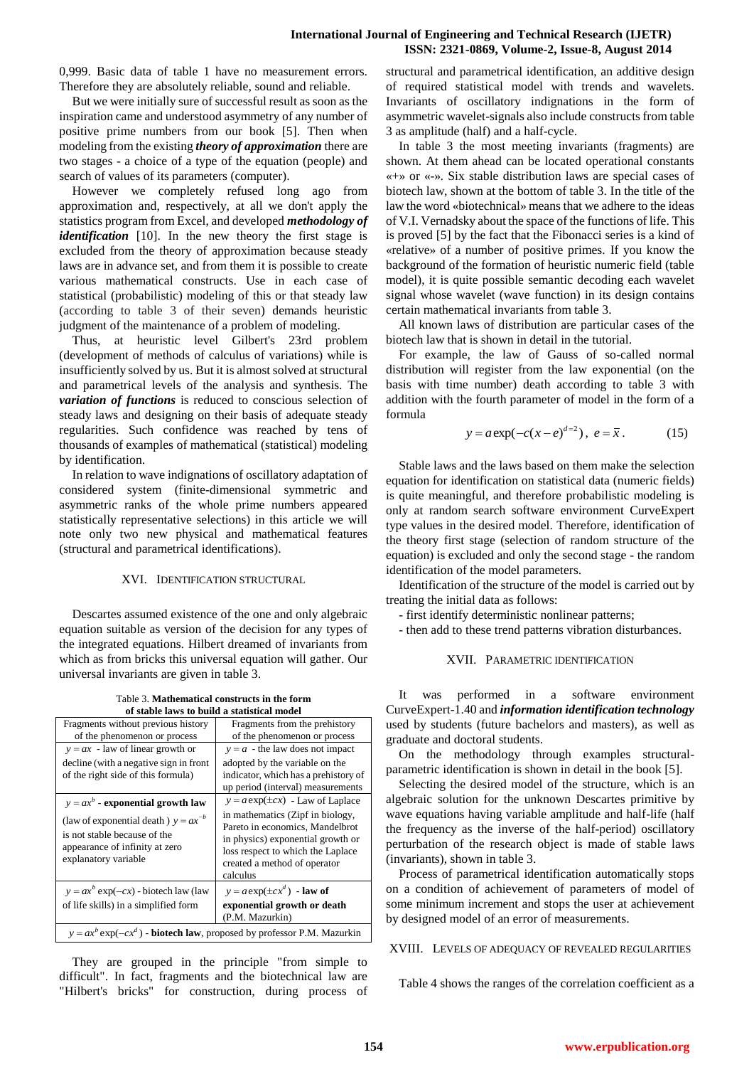0,999. Basic data of table 1 have no measurement errors. Therefore they are absolutely reliable, sound and reliable.

But we were initially sure of successful result as soon as the inspiration came and understood asymmetry of any number of positive prime numbers from our book [5]. Then when modeling from the existing *theory of approximation* there are two stages - a choice of a type of the equation (people) and search of values of its parameters (computer).

However we completely refused long ago from approximation and, respectively, at all we don't apply the statistics program from Excel, and developed *methodology of identification* [10]. In the new theory the first stage is excluded from the theory of approximation because steady laws are in advance set, and from them it is possible to create various mathematical constructs. Use in each case of statistical (probabilistic) modeling of this or that steady law (according to table 3 of their seven) demands heuristic judgment of the maintenance of a problem of modeling.

Thus, at heuristic level Gilbert's 23rd problem (development of methods of calculus of variations) while is insufficiently solved by us. But it is almost solved at structural and parametrical levels of the analysis and synthesis. The *variation of functions* is reduced to conscious selection of steady laws and designing on their basis of adequate steady regularities. Such confidence was reached by tens of thousands of examples of mathematical (statistical) modeling by identification.

In relation to wave indignations of oscillatory adaptation of considered system (finite-dimensional symmetric and asymmetric ranks of the whole prime numbers appeared statistically representative selections) in this article we will note only two new physical and mathematical features (structural and parametrical identifications).

## XVI. IDENTIFICATION STRUCTURAL

Descartes assumed existence of the one and only algebraic equation suitable as version of the decision for any types of the integrated equations. Hilbert dreamed of invariants from which as from bricks this universal equation will gather. Our universal invariants are given in table 3.

| Table 3. Mathematical constructs in the form |  |
|----------------------------------------------|--|
| of stable laws to build a statistical model  |  |

| of stable laws to build a statistical model                                                                                                                               |                                                                                                                                                                                                                                    |  |  |
|---------------------------------------------------------------------------------------------------------------------------------------------------------------------------|------------------------------------------------------------------------------------------------------------------------------------------------------------------------------------------------------------------------------------|--|--|
| Fragments without previous history<br>of the phenomenon or process                                                                                                        | Fragments from the prehistory<br>of the phenomenon or process                                                                                                                                                                      |  |  |
| $y = ax - law$ of linear growth or                                                                                                                                        | $y = a$ - the law does not impact                                                                                                                                                                                                  |  |  |
| decline (with a negative sign in front<br>of the right side of this formula)                                                                                              | adopted by the variable on the<br>indicator, which has a prehistory of<br>up period (interval) measurements                                                                                                                        |  |  |
| $y = ax^b$ - exponential growth law<br>(law of exponential death) $y = ax^{-b}$<br>is not stable because of the<br>appearance of infinity at zero<br>explanatory variable | $y = a \exp(\pm cx)$ - Law of Laplace<br>in mathematics (Zipf in biology,<br>Pareto in economics, Mandelbrot<br>in physics) exponential growth or<br>loss respect to which the Laplace<br>created a method of operator<br>calculus |  |  |
| $y = ax^b \exp(-cx)$ - biotech law (law<br>of life skills) in a simplified form                                                                                           | $y = a \exp(\pm cx^d)$ - law of<br>exponential growth or death<br>(P.M. Mazurkin)                                                                                                                                                  |  |  |
| $y = ax^b \exp(-cx^d)$ - <b>biotech law</b> , proposed by professor P.M. Mazurkin                                                                                         |                                                                                                                                                                                                                                    |  |  |

They are grouped in the principle "from simple to difficult". In fact, fragments and the biotechnical law are "Hilbert's bricks" for construction, during process of structural and parametrical identification, an additive design of required statistical model with trends and wavelets. Invariants of oscillatory indignations in the form of asymmetric wavelet-signals also include constructs from table 3 as amplitude (half) and a half-cycle.

In table 3 the most meeting invariants (fragments) are shown. At them ahead can be located operational constants «+» or «-». Six stable distribution laws are special cases of biotech law, shown at the bottom of table 3. In the title of the law the word «biotechnical» means that we adhere to the ideas of V.I. Vernadsky about the space of the functions of life. This is proved [5] by the fact that the Fibonacci series is a kind of «relative» of a number of positive primes. If you know the background of the formation of heuristic numeric field (table model), it is quite possible semantic decoding each wavelet signal whose wavelet (wave function) in its design contains certain mathematical invariants from table 3.

All known laws of distribution are particular cases of the biotech law that is shown in detail in the tutorial.

For example, the law of Gauss of so-called normal distribution will register from the law exponential (on the basis with time number) death according to table 3 with addition with the fourth parameter of model in the form of a formula

$$
y = a \exp(-c(x-e)^{d=2}), e = \bar{x}.
$$
 (15)

Stable laws and the laws based on them make the selection equation for identification on statistical data (numeric fields) is quite meaningful, and therefore probabilistic modeling is only at random search software environment CurveExpert type values in the desired model. Therefore, identification of the theory first stage (selection of random structure of the equation) is excluded and only the second stage - the random identification of the model parameters.

Identification of the structure of the model is carried out by treating the initial data as follows:

- first identify deterministic nonlinear patterns;

- then add to these trend patterns vibration disturbances.

# XVII. PARAMETRIC IDENTIFICATION

It was performed in a software environment CurveExpert-1.40 and *information identification technology* used by students (future bachelors and masters), as well as graduate and doctoral students.

On the methodology through examples structuralparametric identification is shown in detail in the book [5].

Selecting the desired model of the structure, which is an algebraic solution for the unknown Descartes primitive by wave equations having variable amplitude and half-life (half the frequency as the inverse of the half-period) oscillatory perturbation of the research object is made of stable laws (invariants), shown in table 3.

Process of parametrical identification automatically stops on a condition of achievement of parameters of model of some minimum increment and stops the user at achievement by designed model of an error of measurements.

XVIII. LEVELS OF ADEQUACY OF REVEALED REGULARITIES

Table 4 shows the ranges of the correlation coefficient as a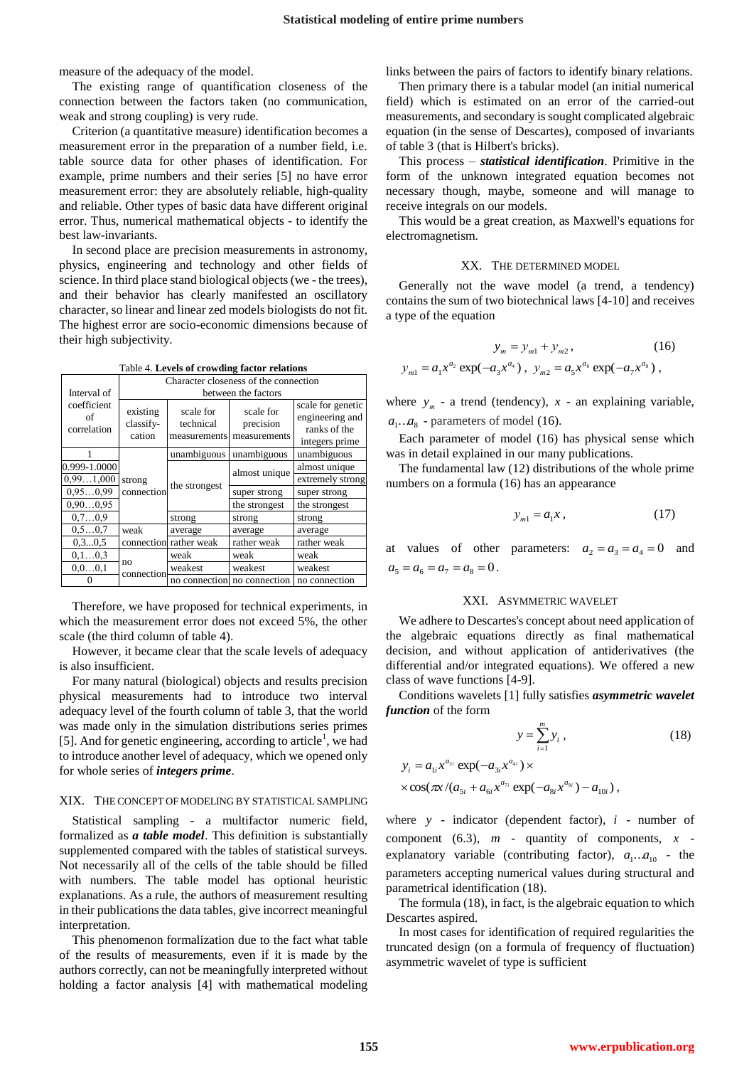measure of the adequacy of the model.

The existing range of quantification closeness of the connection between the factors taken (no communication, weak and strong coupling) is very rude.

Criterion (a quantitative measure) identification becomes a measurement error in the preparation of a number field, i.e. table source data for other phases of identification. For example, prime numbers and their series [5] no have error measurement error: they are absolutely reliable, high-quality and reliable. Other types of basic data have different original error. Thus, numerical mathematical objects - to identify the best law-invariants.

In second place are precision measurements in astronomy, physics, engineering and technology and other fields of science. In third place stand biological objects (we - the trees), and their behavior has clearly manifested an oscillatory character, so linear and linear zed models biologists do not fit. The highest error are socio-economic dimensions because of their high subjectivity.

|  |  |  | Table 4. Levels of crowding factor relations |
|--|--|--|----------------------------------------------|
|--|--|--|----------------------------------------------|

|                                  |                                                              |                                        | racio $\ldots$ Levels of evoluting racion relations |                                                                        |  |
|----------------------------------|--------------------------------------------------------------|----------------------------------------|-----------------------------------------------------|------------------------------------------------------------------------|--|
| Interval of                      | Character closeness of the connection<br>between the factors |                                        |                                                     |                                                                        |  |
| coefficient<br>of<br>correlation | existing<br>classify-<br>cation                              | scale for<br>technical<br>measurements | scale for<br>precision<br>measurements              | scale for genetic<br>engineering and<br>ranks of the<br>integers prime |  |
|                                  | strong<br>connection                                         | unambiguous                            | unambiguous                                         | unambiguous                                                            |  |
| 0.999-1.0000<br>0.991.000        |                                                              | the strongest                          | almost unique                                       | almost unique<br>extremely strong                                      |  |
| 0.950.99                         |                                                              |                                        | super strong                                        | super strong                                                           |  |
| 0.900.95                         |                                                              |                                        | the strongest                                       | the strongest                                                          |  |
| 0.70.9                           |                                                              | strong                                 | strong                                              | strong                                                                 |  |
| 0, 50, 7                         | weak                                                         | average                                | average                                             | average                                                                |  |
| 0.30.5                           | connection                                                   | rather weak                            | rather weak                                         | rather weak                                                            |  |
| 0, 10, 3                         | no<br>connection                                             | weak                                   | weak                                                | weak                                                                   |  |
| 0, 00, 1                         |                                                              | weakest                                | weakest                                             | weakest                                                                |  |
|                                  |                                                              |                                        | no connection no connection                         | no connection                                                          |  |

Therefore, we have proposed for technical experiments, in which the measurement error does not exceed 5%, the other scale (the third column of table 4).

However, it became clear that the scale levels of adequacy is also insufficient.

For many natural (biological) objects and results precision physical measurements had to introduce two interval adequacy level of the fourth column of table 3, that the world was made only in the simulation distributions series primes [5]. And for genetic engineering, according to article<sup>1</sup>, we had to introduce another level of adequacy, which we opened only for whole series of *integers prime*.

#### XIX. THE CONCEPT OF MODELING BY STATISTICAL SAMPLING

Statistical sampling - a multifactor numeric field, formalized as *a table model*. This definition is substantially supplemented compared with the tables of statistical surveys. Not necessarily all of the cells of the table should be filled with numbers. The table model has optional heuristic explanations. As a rule, the authors of measurement resulting in their publications the data tables, give incorrect meaningful interpretation.

This phenomenon formalization due to the fact what table of the results of measurements, even if it is made by the authors correctly, can not be meaningfully interpreted without holding a factor analysis [4] with mathematical modeling links between the pairs of factors to identify binary relations.

Then primary there is a tabular model (an initial numerical field) which is estimated on an error of the carried-out measurements, and secondary is sought complicated algebraic equation (in the sense of Descartes), composed of invariants of table 3 (that is Hilbert's bricks).

This process – *statistical identification*. Primitive in the form of the unknown integrated equation becomes not necessary though, maybe, someone and will manage to receive integrals on our models.

This would be a great creation, as Maxwell's equations for electromagnetism.

#### XX. THE DETERMINED MODEL

Generally not the wave model (a trend, a tendency) contains the sum of two biotechnical laws [4-10] and receives a type of the equation

$$
y_m = y_{m1} + y_{m2},
$$
\n
$$
y_{m1} = a_1 x^{a_2} \exp(-a_3 x^{a_4}), \quad y_{m2} = a_5 x^{a_6} \exp(-a_7 x^{a_8}),
$$
\n(16)

where  $y_m$  - a trend (tendency),  $x$  - an explaining variable,  $a_1 \ldots a_8$  - parameters of model (16).

Each parameter of model (16) has physical sense which was in detail explained in our many publications.

The fundamental law (12) distributions of the whole prime numbers on a formula (16) has an appearance

$$
y_{m1} = a_1 x, \qquad (17)
$$

at values of other parameters:  $a_2 = a_3 = a_4 = 0$  and  $a_5 = a_6 = a_7 = a_8 = 0$ .

#### XXI. ASYMMETRIC WAVELET

We adhere to Descartes's concept about need application of the algebraic equations directly as final mathematical decision, and without application of antiderivatives (the differential and/or integrated equations). We offered a new class of wave functions [4-9].

Conditions wavelets [1] fully satisfies *asymmetric wavelet function* of the form

$$
y = \sum_{i=1}^{m} y_i , \t\t(18)
$$

$$
y_i = a_{1i} x^{a_{2i}} \exp(-a_{3i} x^{a_{4i}}) \times
$$
  
 
$$
\times \cos(\pi x / (a_{5i} + a_{6i} x^{a_{7i}} \exp(-a_{8i} x^{a_{9i}}) - a_{10i}),
$$

where  $y$  - indicator (dependent factor),  $i$  - number of component  $(6.3)$ ,  $m$  - quantity of components,  $x$  explanatory variable (contributing factor),  $a_1 \cdot a_{10}$  - the parameters accepting numerical values during structural and parametrical identification (18).

The formula (18), in fact, is the algebraic equation to which Descartes aspired.

In most cases for identification of required regularities the truncated design (on a formula of frequency of fluctuation) asymmetric wavelet of type is sufficient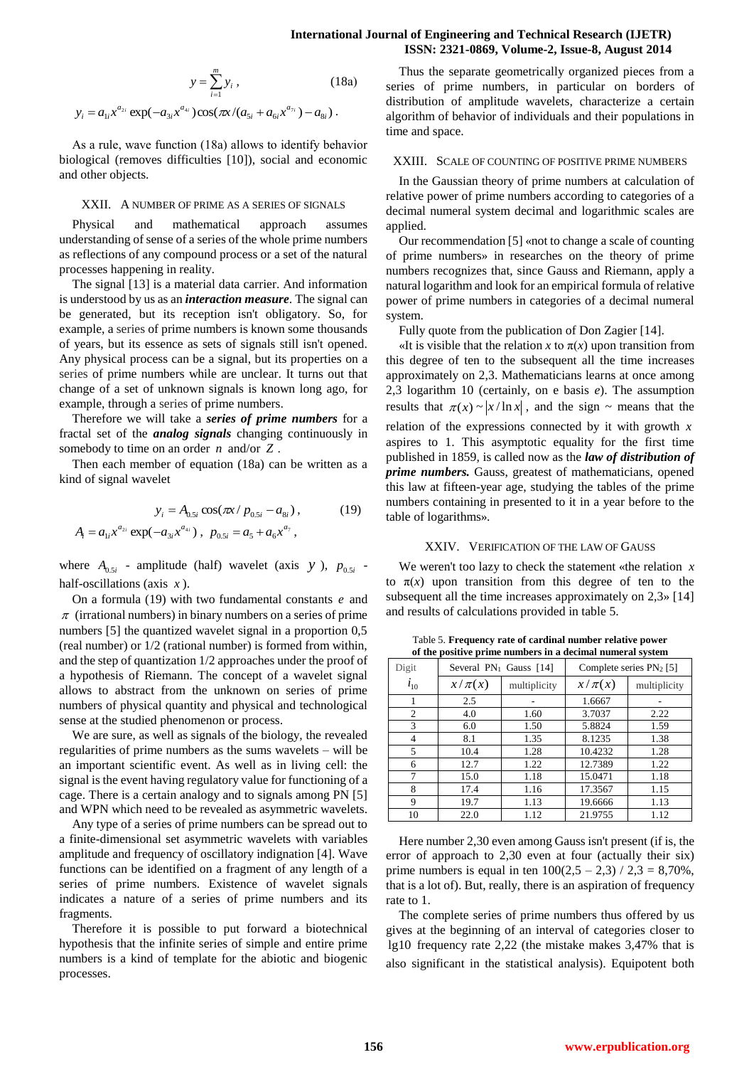## **International Journal of Engineering and Technical Research (IJETR) ISSN: 2321-0869, Volume-2, Issue-8, August 2014**

$$
y = \sum_{i=1}^{m} y_i, \qquad (18a)
$$

$$
y_i = a_{1i} x^{a_{2i}} \exp(-a_{3i} x^{a_{4i}}) \cos(\pi x / (a_{5i} + a_{6i} x^{a_{7i}}) - a_{8i}).
$$

As a rule, wave function (18а) allows to identify behavior biological (removes difficulties [10]), social and economic and other objects.

#### XXII. A NUMBER OF PRIME AS A SERIES OF SIGNALS

Physical and mathematical approach assumes understanding of sense of a series of the whole prime numbers as reflections of any compound process or a set of the natural processes happening in reality.

The signal [13] is a material data carrier. And information is understood by us as an *interaction measure*. The signal can be generated, but its reception isn't obligatory. So, for example, a series of prime numbers is known some thousands of years, but its essence as sets of signals still isn't opened. Any physical process can be a signal, but its properties on a series of prime numbers while are unclear. It turns out that change of a set of unknown signals is known long ago, for example, through a series of prime numbers.

Therefore we will take a *series of prime numbers* for a fractal set of the *analog signals* changing continuously in somebody to time on an order *n* and/or *Z* .

Then each member of equation (18a) can be written as a kind of signal wavelet

$$
y_i = A_{0.5i} \cos(\pi x / p_{0.5i} - a_{8i}),
$$
 (19)  

$$
A_i = a_{1i} x^{a_{2i}} \exp(-a_{3i} x^{a_{4i}}), \quad p_{0.5i} = a_5 + a_6 x^{a_7},
$$

where  $A_{0.5i}$  - amplitude (half) wavelet (axis  $y$ ),  $p_{0.5i}$  half-oscillations (axis *x* ).

On a formula (19) with two fundamental constants *e* and  $\pi$  (irrational numbers) in binary numbers on a series of prime numbers [5] the quantized wavelet signal in a proportion 0,5 (real number) or 1/2 (rational number) is formed from within, and the step of quantization 1/2 approaches under the proof of a hypothesis of Riemann. The concept of a wavelet signal allows to abstract from the unknown on series of prime numbers of physical quantity and physical and technological sense at the studied phenomenon or process.

We are sure, as well as signals of the biology, the revealed regularities of prime numbers as the sums wavelets – will be an important scientific event. As well as in living cell: the signal is the event having regulatory value for functioning of a cage. There is a certain analogy and to signals among PN [5] and WPN which need to be revealed as asymmetric wavelets.

Any type of a series of prime numbers can be spread out to a finite-dimensional set asymmetric wavelets with variables amplitude and frequency of oscillatory indignation [4]. Wave functions can be identified on a fragment of any length of a series of prime numbers. Existence of wavelet signals indicates a nature of a series of prime numbers and its fragments.

Therefore it is possible to put forward a biotechnical hypothesis that the infinite series of simple and entire prime numbers is a kind of template for the abiotic and biogenic processes.

Thus the separate geometrically organized pieces from a series of prime numbers, in particular on borders of distribution of amplitude wavelets, characterize a certain algorithm of behavior of individuals and their populations in time and space.

#### XXIII. SCALE OF COUNTING OF POSITIVE PRIME NUMBERS

In the Gaussian theory of prime numbers at calculation of relative power of prime numbers according to categories of a decimal numeral system decimal and logarithmic scales are applied.

Our recommendation [5] «not to change a scale of counting of prime numbers» in researches on the theory of prime numbers recognizes that, since Gauss and Riemann, apply a natural logarithm and look for an empirical formula of relative power of prime numbers in categories of a decimal numeral system.

Fully quote from the publication of Don Zagier [14].

«It is visible that the relation *x* to  $\pi(x)$  upon transition from this degree of ten to the subsequent all the time increases approximately on 2,3. Mathematicians learns at once among 2,3 logarithm 10 (certainly, on e basis *e*). The assumption results that  $\pi(x) \sim |x/\ln x|$ , and the sign ~ means that the relation of the expressions connected by it with growth *x* aspires to 1. This asymptotic equality for the first time published in 1859, is called now as the *law of distribution of prime numbers.* Gauss, greatest of mathematicians, opened this law at fifteen-year age, studying the tables of the prime numbers containing in presented to it in a year before to the table of logarithms».

## XXIV. VERIFICATION OF THE LAW OF GAUSS

We weren't too lazy to check the statement «the relation *x*  to  $\pi(x)$  upon transition from this degree of ten to the subsequent all the time increases approximately on 2,3» [14] and results of calculations provided in table 5.

Digit  $i_{10}$ Several  $PN_1$  Gauss [14] Complete series  $PN_2$  [5]  $x/\pi(x)$ multiplicity  $x/\pi(x)$ multiplicity 1 2.5 - 1.6667 2 4.0 1.60 3.7037 2.22 3 6.0 1.50 5.8824 1.59 4 8.1 1.35 8.1235 1.38 5 10.4 1.28 10.4232 1.28 6 12.7 1.22 12.7389 1.22 7 15.0 1.18 15.0471 1.18 8 17.4 1.16 17.3567 1.15 9 19.7 1.13 19.6666 1.13 10 22.0 1.12 21.9755 1.12

Table 5. **Frequency rate of cardinal number relative power of the positive prime numbers in a decimal numeral system**

Here number 2,30 even among Gauss isn't present (if is, the error of approach to 2,30 even at four (actually their six) prime numbers is equal in ten  $100(2.5 - 2.3) / 2.3 = 8,70\%$ , that is a lot of). But, really, there is an aspiration of frequency rate to 1.

The complete series of prime numbers thus offered by us gives at the beginning of an interval of categories closer to lg10 frequency rate 2,22 (the mistake makes 3,47% that is also significant in the statistical analysis). Equipotent both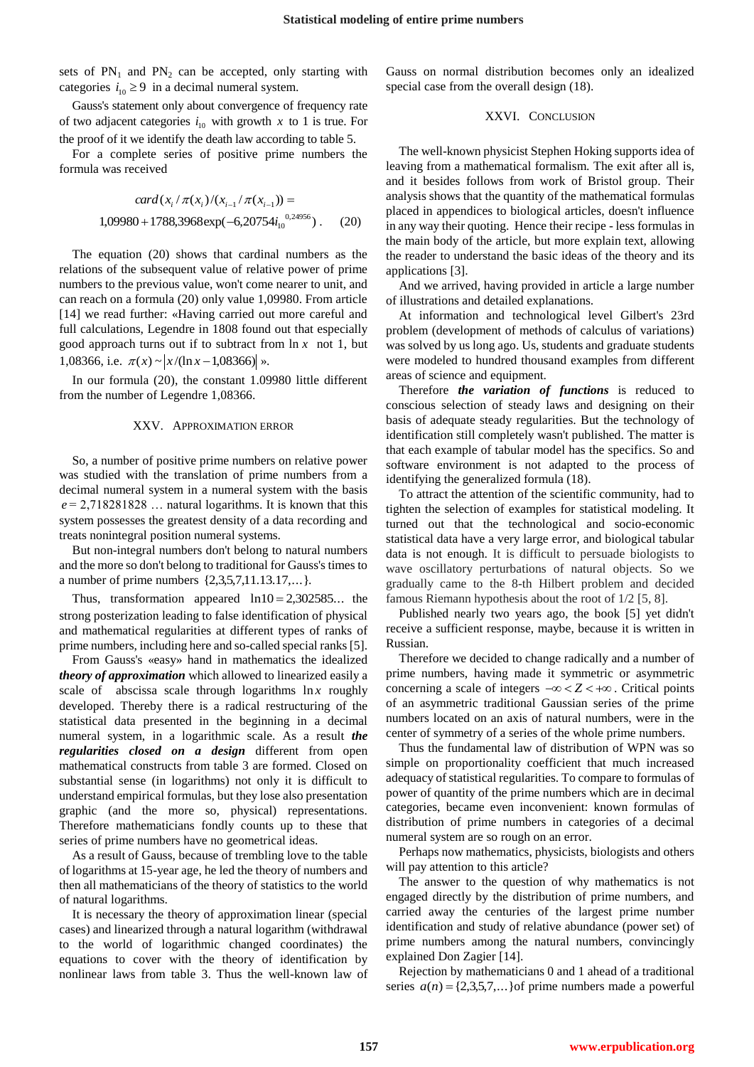sets of  $PN_1$  and  $PN_2$  can be accepted, only starting with categories  $i_{10} \geq 9$  in a decimal numeral system.

Gauss's statement only about convergence of frequency rate of two adjacent categories  $i_{10}$  with growth x to 1 is true. For the proof of it we identify the death law according to table 5.

For a complete series of positive prime numbers the formula was received

$$
card(x_i/\pi(x_i)/(x_{i-1}/\pi(x_{i-1})) =
$$
  
1,09980 + 1788,3968exp(-6,20754*i*<sub>10</sub><sup>0,24956</sup>). (20)

The equation (20) shows that cardinal numbers as the relations of the subsequent value of relative power of prime numbers to the previous value, won't come nearer to unit, and can reach on a formula (20) only value 1,09980. From article [14] we read further: «Having carried out more careful and full calculations, Legendre in 1808 found out that especially good approach turns out if to subtract from ln *x* not 1, but 1,08366, i.e.  $\pi(x) \sim |x/(\ln x - 1,08366)| \times$ .

In our formula (20), the constant 1.09980 little different from the number of Legendre 1,08366.

#### XXV. APPROXIMATION ERROR

So, a number of positive prime numbers on relative power was studied with the translation of prime numbers from a decimal numeral system in a numeral system with the basis  $e = 2,718281828...$  natural logarithms. It is known that this system possesses the greatest density of a data recording and treats nonintegral position numeral systems.

But non-integral numbers don't belong to natural numbers and the more so don't belong to traditional for Gauss's times to a number of prime numbers {2,3,5,7,11.13.17,...}.

Thus, transformation appeared  $ln 10 = 2,302585...$  the strong posterization leading to false identification of physical and mathematical regularities at different types of ranks of prime numbers, including here and so-called special ranks [5].

From Gauss's «easy» hand in mathematics the idealized *theory of approximation* which allowed to linearized easily a scale of abscissa scale through logarithms  $\ln x$  roughly developed. Thereby there is a radical restructuring of the statistical data presented in the beginning in a decimal numeral system, in a logarithmic scale. As a result *the regularities closed on a design* different from open mathematical constructs from table 3 are formed. Closed on substantial sense (in logarithms) not only it is difficult to understand empirical formulas, but they lose also presentation graphic (and the more so, physical) representations. Therefore mathematicians fondly counts up to these that series of prime numbers have no geometrical ideas.

As a result of Gauss, because of trembling love to the table of logarithms at 15-year age, he led the theory of numbers and then all mathematicians of the theory of statistics to the world of natural logarithms.

It is necessary the theory of approximation linear (special cases) and linearized through a natural logarithm (withdrawal to the world of logarithmic changed coordinates) the equations to cover with the theory of identification by nonlinear laws from table 3. Thus the well-known law of Gauss on normal distribution becomes only an idealized special case from the overall design (18).

## XXVI. CONCLUSION

The well-known physicist Stephen Hoking supports idea of leaving from a mathematical formalism. The exit after all is, and it besides follows from work of Bristol group. Their analysis shows that the quantity of the mathematical formulas placed in appendices to biological articles, doesn't influence in any way their quoting. Hence their recipe - less formulas in the main body of the article, but more explain text, allowing the reader to understand the basic ideas of the theory and its applications [3].

And we arrived, having provided in article a large number of illustrations and detailed explanations.

At information and technological level Gilbert's 23rd problem (development of methods of calculus of variations) was solved by us long ago. Us, students and graduate students were modeled to hundred thousand examples from different areas of science and equipment.

Therefore *the variation of functions* is reduced to conscious selection of steady laws and designing on their basis of adequate steady regularities. But the technology of identification still completely wasn't published. The matter is that each example of tabular model has the specifics. So and software environment is not adapted to the process of identifying the generalized formula (18).

To attract the attention of the scientific community, had to tighten the selection of examples for statistical modeling. It turned out that the technological and socio-economic statistical data have a very large error, and biological tabular data is not enough. It is difficult to persuade biologists to wave oscillatory perturbations of natural objects. So we gradually came to the 8-th Hilbert problem and decided famous Riemann hypothesis about the root of 1/2 [5, 8].

Published nearly two years ago, the book [5] yet didn't receive a sufficient response, maybe, because it is written in Russian.

Therefore we decided to change radically and a number of prime numbers, having made it symmetric or asymmetric concerning a scale of integers  $-\infty < Z < +\infty$ . Critical points of an asymmetric traditional Gaussian series of the prime numbers located on an axis of natural numbers, were in the center of symmetry of a series of the whole prime numbers.

Thus the fundamental law of distribution of WPN was so simple on proportionality coefficient that much increased adequacy of statistical regularities. To compare to formulas of power of quantity of the prime numbers which are in decimal categories, became even inconvenient: known formulas of distribution of prime numbers in categories of a decimal numeral system are so rough on an error.

Perhaps now mathematics, physicists, biologists and others will pay attention to this article?

The answer to the question of why mathematics is not engaged directly by the distribution of prime numbers, and carried away the centuries of the largest prime number identification and study of relative abundance (power set) of prime numbers among the natural numbers, convincingly explained Don Zagier [14].

Rejection by mathematicians 0 and 1 ahead of a traditional series  $a(n) = \{2,3,5,7,...\}$  of prime numbers made a powerful